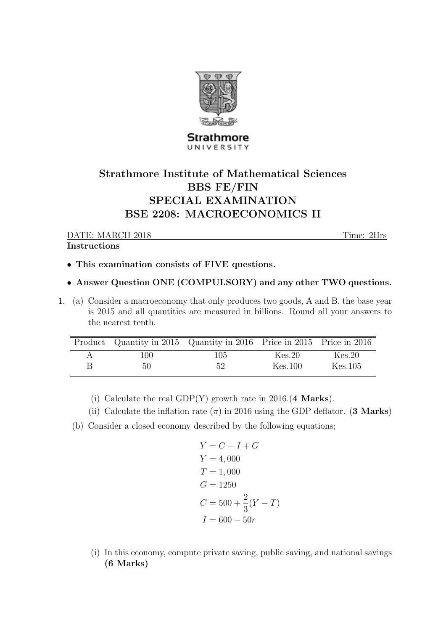

## Strathmore UNIVERSITY

## Strathmore Institute of Mathematical Sciences BBS FE/FIN SPECIAL EXAMINATION BSE 2208: MACROECONOMICS II

DATE: MARCH 2018 Time: 2Hrs **Instructions** 

- This examination consists of FIVE questions.
- Answer Question ONE (COMPULSORY) and any other TWO questions.
- 1. (a) Consider a macroeconomy that only produces two goods, A and B. the base year is 2015 and all quantities are measured in billions. Round all your answers to the nearest tenth.

|   |     | Product Quantity in 2015 Quantity in 2016 Price in 2015 Price in 2016 |         |         |
|---|-----|-----------------------------------------------------------------------|---------|---------|
|   | 100 | 105.                                                                  | Kes.20  | Kes.20  |
| R | 50  | 52                                                                    | Kes.100 | Kes.105 |

(i) Calculate the real  $GDP(Y)$  growth rate in 2016. $(4 \text{ Marks})$ .

(ii) Calculate the inflation rate  $(\pi)$  in 2016 using the GDP deflator. (3 Marks)

(b) Consider a closed economy described by the following equations;

$$
Y = C + I + G
$$
  
\n
$$
Y = 4,000
$$
  
\n
$$
T = 1,000
$$
  
\n
$$
G = 1250
$$
  
\n
$$
C = 500 + \frac{2}{3}(Y - T)
$$
  
\n
$$
I = 600 - 50r
$$

(i) In this economy, compute private saving, public saving, and national savings (6 Marks)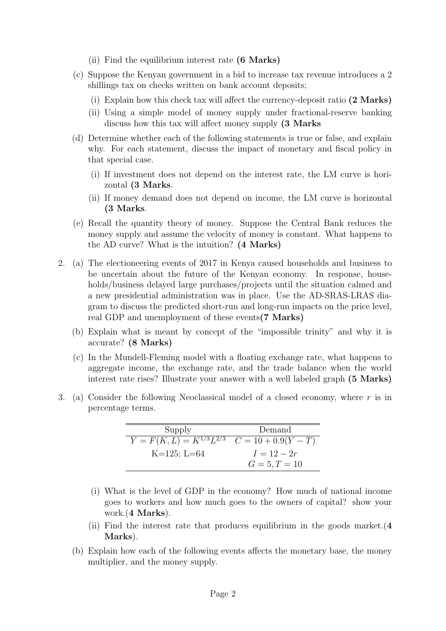- (ii) Find the equilibrium interest rate (6 Marks)
- (c) Suppose the Kenyan government in a bid to increase tax revenue introduces a 2 shillings tax on checks written on bank account deposits;
	- (i) Explain how this check tax will affect the currency-deposit ratio (2 Marks)
	- (ii) Using a simple model of money supply under fractional-reserve banking discuss how this tax will affect money supply (3 Marks
- (d) Determine whether each of the following statements is true or false, and explain why. For each statement, discuss the impact of monetary and fiscal policy in that special case.
	- (i) If investment does not depend on the interest rate, the LM curve is horizontal (3 Marks.
	- (ii) If money demand does not depend on income, the LM curve is horizontal (3 Marks.
- (e) Recall the quantity theory of money. Suppose the Central Bank reduces the money supply and assume the velocity of money is constant. What happens to the AD curve? What is the intuition? (4 Marks)
- 2. (a) The electioneering events of 2017 in Kenya caused households and business to be uncertain about the future of the Kenyan economy. In response, households/business delayed large purchases/projects until the situation calmed and a new presidential administration was in place. Use the AD-SRAS-LRAS diagram to discuss the predicted short-run and long-run impacts on the price level, real GDP and unemployment of these events(7 Marks)
	- (b) Explain what is meant by concept of the "impossible trinity" and why it is accurate? (8 Marks)
	- (c) In the Mundell-Fleming model with a floating exchange rate, what happens to aggregate income, the exchange rate, and the trade balance when the world interest rate rises? Illustrate your answer with a well labeled graph (5 Marks)
- 3. (a) Consider the following Neoclassical model of a closed economy, where r is in percentage terms.

| Supply                                               | Demand          |
|------------------------------------------------------|-----------------|
| $Y = F(K, L) = K^{1/3}L^{2/3}$ $C = 10 + 0.9(Y - T)$ |                 |
| $K=125; L=64$                                        | $I = 12 - 2r$   |
|                                                      | $G = 5, T = 10$ |

- (i) What is the level of GDP in the economy? How much of national income goes to workers and how much goes to the owners of capital? show your work.(4 Marks).
- (ii) Find the interest rate that produces equilibrium in the goods market.(4 Marks).
- (b) Explain how each of the following events affects the monetary base, the money multiplier, and the money supply.